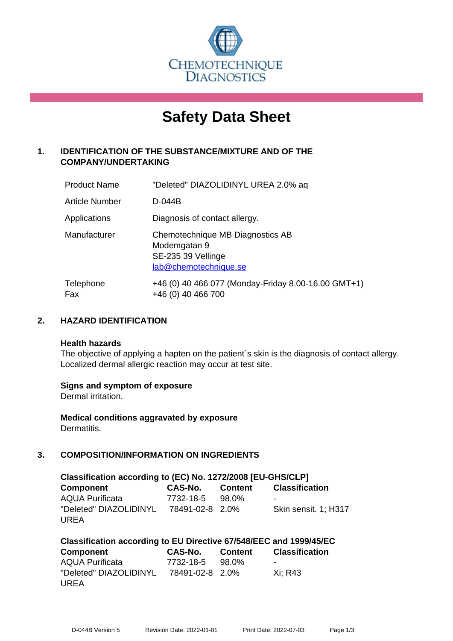

# **Safety Data Sheet**

# **1. IDENTIFICATION OF THE SUBSTANCE/MIXTURE AND OF THE COMPANY/UNDERTAKING**

| <b>Product Name</b>   | "Deleted" DIAZOLIDINYL UREA 2.0% aq                                                             |
|-----------------------|-------------------------------------------------------------------------------------------------|
| <b>Article Number</b> | D-044B                                                                                          |
| Applications          | Diagnosis of contact allergy.                                                                   |
| Manufacturer          | Chemotechnique MB Diagnostics AB<br>Modemgatan 9<br>SE-235 39 Vellinge<br>lab@chemotechnique.se |
| Telephone<br>Fax      | +46 (0) 40 466 077 (Monday-Friday 8.00-16.00 GMT+1)<br>+46 (0) 40 466 700                       |

# **2. HAZARD IDENTIFICATION**

#### **Health hazards**

The objective of applying a hapten on the patient's skin is the diagnosis of contact allergy. Localized dermal allergic reaction may occur at test site.

## **Signs and symptom of exposure**

Dermal irritation.

**Medical conditions aggravated by exposure** Dermatitis.

# **3. COMPOSITION/INFORMATION ON INGREDIENTS**

| Classification according to (EC) No. 1272/2008 [EU-GHS/CLP] |                 |                |                       |  |
|-------------------------------------------------------------|-----------------|----------------|-----------------------|--|
| <b>Component</b>                                            | CAS-No.         | <b>Content</b> | <b>Classification</b> |  |
| <b>AQUA Purificata</b>                                      | 7732-18-5       | 98.0%          | $\blacksquare$        |  |
| "Deleted" DIAZOLIDINYL                                      | 78491-02-8 2.0% |                | Skin sensit. 1; H317  |  |
| UREA                                                        |                 |                |                       |  |

| Classification according to EU Directive 67/548/EEC and 1999/45/EC |                 |  |                       |  |
|--------------------------------------------------------------------|-----------------|--|-----------------------|--|
| Component                                                          | CAS-No. Content |  | <b>Classification</b> |  |
| <b>AQUA Purificata</b>                                             | 7732-18-5 98.0% |  | $\,$                  |  |
| "Deleted" DIAZOLIDINYL 78491-02-8 2.0%                             |                 |  | Xi: R43               |  |
| <b>UREA</b>                                                        |                 |  |                       |  |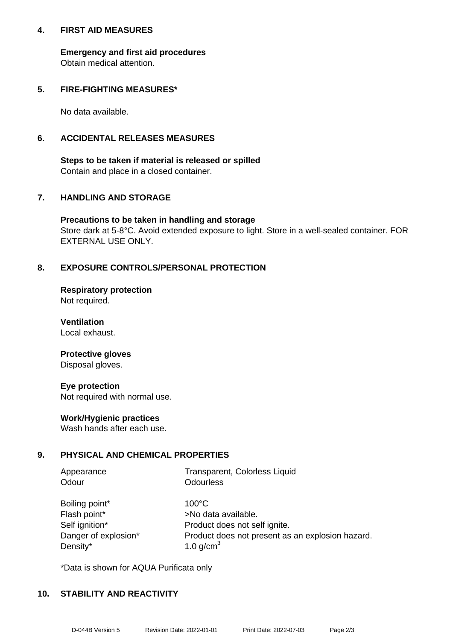## **4. FIRST AID MEASURES**

**Emergency and first aid procedures** Obtain medical attention.

# **5. FIRE-FIGHTING MEASURES\***

No data available.

# **6. ACCIDENTAL RELEASES MEASURES**

**Steps to be taken if material is released or spilled** Contain and place in a closed container.

# **7. HANDLING AND STORAGE**

**Precautions to be taken in handling and storage** Store dark at 5-8°C. Avoid extended exposure to light. Store in a well-sealed container. FOR EXTERNAL USE ONLY.

# **8. EXPOSURE CONTROLS/PERSONAL PROTECTION**

**Respiratory protection** Not required.

**Ventilation** Local exhaust.

#### **Protective gloves** Disposal gloves.

**Eye protection** Not required with normal use.

## **Work/Hygienic practices**

Wash hands after each use.

## **9. PHYSICAL AND CHEMICAL PROPERTIES**

| Appearance | Transparent, Colorless Liquid |
|------------|-------------------------------|
| Odour      | Odourless                     |

| Boiling point*       |
|----------------------|
| Flash point*         |
| Self ignition*       |
| Danger of explosion* |
| Density*             |

 $100^{\circ}$ C >No data available. Product does not self ignite. Product does not present as an explosion hazard. 1.0 g/cm $<sup>3</sup>$ </sup>

\*Data is shown for AQUA Purificata only

## **10. STABILITY AND REACTIVITY**